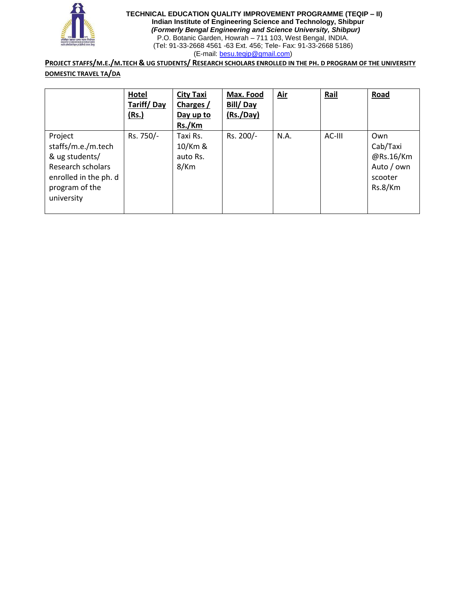

**TECHNICAL EDUCATION QUALITY IMPROVEMENT PROGRAMME (TEQIP – II) Indian Institute of Engineering Science and Technology, Shibpur**  *(Formerly Bengal Engineering and Science University, Shibpur)* P.O. Botanic Garden, Howrah – 711 103, West Bengal, INDIA. (Tel: 91-33-2668 4561 -63 Ext. 456; Tele- Fax: 91-33-2668 5186) (E-mail: [besu.teqip@gmail.com\)](mailto:besu.teqip@gmail.com)

PROJECT STAFFS/M.E./M.TECH & UG STUDENTS/ RESEARCH SCHOLARS ENROLLED IN THE PH. D PROGRAM OF THE UNIVERSITY **DOMESTIC TRAVEL TA/DA**

|                                                                                                                               | <b>Hotel</b><br>Tariff/Day<br>(Rs.) | <b>City Taxi</b><br>Charges /<br>Day up to<br>Rs./Km | Max. Food<br>Bill/Day<br>(Rs./Day) | <u>Air</u> | Rail   | Road                                                             |
|-------------------------------------------------------------------------------------------------------------------------------|-------------------------------------|------------------------------------------------------|------------------------------------|------------|--------|------------------------------------------------------------------|
| Project<br>staffs/m.e./m.tech<br>& ug students/<br>Research scholars<br>enrolled in the ph. d<br>program of the<br>university | Rs. 750/-                           | Taxi Rs.<br>10/Km &<br>auto Rs.<br>8/Km              | Rs. 200/-                          | N.A.       | AC-III | Own<br>Cab/Taxi<br>@Rs.16/Km<br>Auto / own<br>scooter<br>Rs.8/Km |